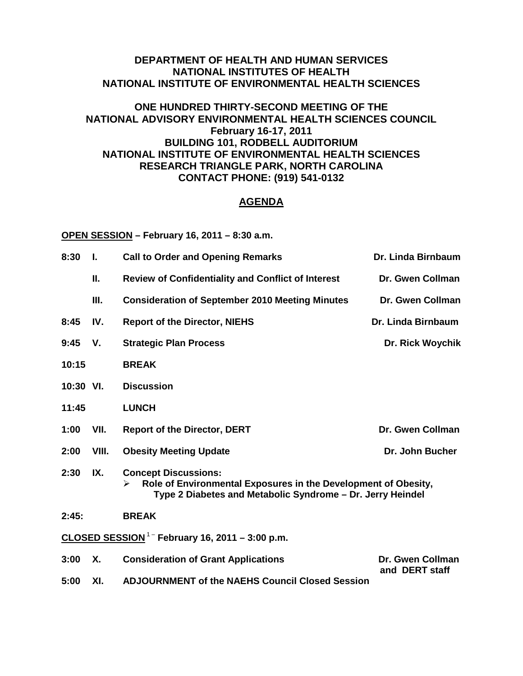## **DEPARTMENT OF HEALTH AND HUMAN SERVICES NATIONAL INSTITUTES OF HEALTH NATIONAL INSTITUTE OF ENVIRONMENTAL HEALTH SCIENCES**

## **ONE HUNDRED THIRTY-SECOND MEETING OF THE NATIONAL ADVISORY ENVIRONMENTAL HEALTH SCIENCES COUNCIL February 16-17, 2011 BUILDING 101, RODBELL AUDITORIUM NATIONAL INSTITUTE OF ENVIRONMENTAL HEALTH SCIENCES RESEARCH TRIANGLE PARK, NORTH CAROLINA CONTACT PHONE: (919) 541-0132**

## **AGENDA**

**OPEN SESSION – February 16, 2011 – 8:30 a.m.**

| 8:30                                                        | L.        | <b>Call to Order and Opening Remarks</b>                                                                                                                         | Dr. Linda Birnbaum                 |  |  |
|-------------------------------------------------------------|-----------|------------------------------------------------------------------------------------------------------------------------------------------------------------------|------------------------------------|--|--|
|                                                             | Ш.        | <b>Review of Confidentiality and Conflict of Interest</b>                                                                                                        | Dr. Gwen Collman                   |  |  |
|                                                             | III.      | <b>Consideration of September 2010 Meeting Minutes</b>                                                                                                           | Dr. Gwen Collman                   |  |  |
| 8:45                                                        | IV.       | <b>Report of the Director, NIEHS</b>                                                                                                                             | Dr. Linda Birnbaum                 |  |  |
| 9:45                                                        | V.        | <b>Strategic Plan Process</b>                                                                                                                                    | Dr. Rick Woychik                   |  |  |
| 10:15                                                       |           | <b>BREAK</b>                                                                                                                                                     |                                    |  |  |
| 10:30 VI.                                                   |           | <b>Discussion</b>                                                                                                                                                |                                    |  |  |
| 11:45                                                       |           | <b>LUNCH</b>                                                                                                                                                     |                                    |  |  |
| 1:00                                                        | VII.      | <b>Report of the Director, DERT</b>                                                                                                                              | Dr. Gwen Collman                   |  |  |
| 2:00                                                        | VIII.     | <b>Obesity Meeting Update</b>                                                                                                                                    | Dr. John Bucher                    |  |  |
| 2:30                                                        | IX.       | <b>Concept Discussions:</b><br>Role of Environmental Exposures in the Development of Obesity,<br>⋗<br>Type 2 Diabetes and Metabolic Syndrome - Dr. Jerry Heindel |                                    |  |  |
| 2:45:                                                       |           | <b>BREAK</b>                                                                                                                                                     |                                    |  |  |
| CLOSED SESSION <sup>1 -</sup> February 16, 2011 - 3:00 p.m. |           |                                                                                                                                                                  |                                    |  |  |
| 3:00                                                        | <b>X.</b> | <b>Consideration of Grant Applications</b>                                                                                                                       | Dr. Gwen Collman<br>and DERT staff |  |  |
| 5:00                                                        | XI.       | <b>ADJOURNMENT of the NAEHS Council Closed Session</b>                                                                                                           |                                    |  |  |